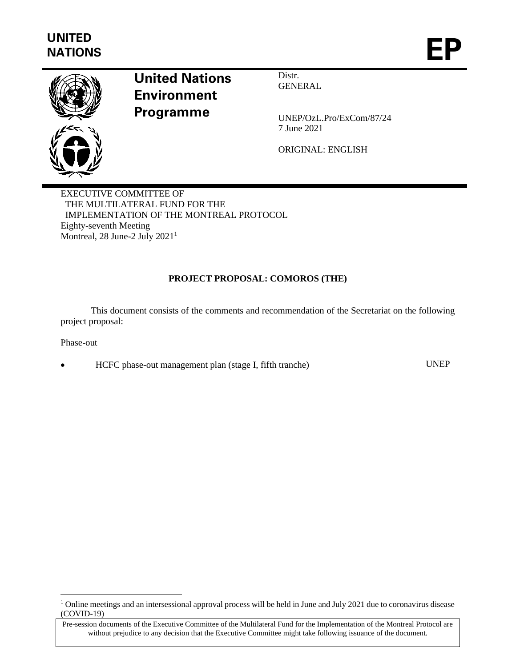

# **United Nations Environment Programme**

Distr. GENERAL

UNEP/OzL.Pro/ExCom/87/24 7 June 2021

ORIGINAL: ENGLISH

EXECUTIVE COMMITTEE OF THE MULTILATERAL FUND FOR THE IMPLEMENTATION OF THE MONTREAL PROTOCOL Eighty-seventh Meeting Montreal, 28 June-2 July 2021<sup>1</sup>

# **PROJECT PROPOSAL: COMOROS (THE)**

This document consists of the comments and recommendation of the Secretariat on the following project proposal:

Phase-out

• HCFC phase-out management plan (stage I, fifth tranche) UNEP

<sup>&</sup>lt;sup>1</sup> Online meetings and an intersessional approval process will be held in June and July 2021 due to coronavirus disease (COVID-19)

Pre-session documents of the Executive Committee of the Multilateral Fund for the Implementation of the Montreal Protocol are without prejudice to any decision that the Executive Committee might take following issuance of the document.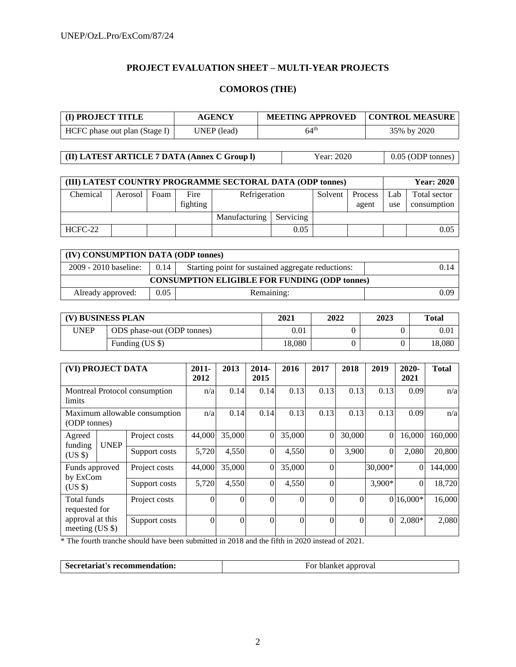# **PROJECT EVALUATION SHEET – MULTI-YEAR PROJECTS**

# **COMOROS (THE)**

| (I) PROJECT TITLE<br><b>AGENCY</b> |             | <b>MEETING APPROVED</b> | <b>CONTROL MEASURE</b> |  |  |
|------------------------------------|-------------|-------------------------|------------------------|--|--|
| HCFC phase out plan (Stage I)      | UNEP (lead) | $64^{\rm th}$           | 35% by 2020            |  |  |

**(II) LATEST ARTICLE 7 DATA (Annex C Group I)** Year: 2020 0.05 (ODP tonnes)

| (III) LATEST COUNTRY PROGRAMME SECTORAL DATA (ODP tonnes) |         | <b>Year: 2020</b> |                  |               |           |         |                  |            |                             |
|-----------------------------------------------------------|---------|-------------------|------------------|---------------|-----------|---------|------------------|------------|-----------------------------|
| Chemical                                                  | Aerosol | Foam              | Fire<br>fighting | Refrigeration |           | Solvent | Process<br>agent | Lab<br>use | Total sector<br>consumption |
|                                                           |         |                   |                  | Manufacturing | Servicing |         |                  |            |                             |
| $HCFC-22$                                                 |         |                   |                  |               | 0.05      |         |                  |            | 0.05                        |

| (IV) CONSUMPTION DATA (ODP tonnes)                   |      |                                                    |      |  |  |  |  |
|------------------------------------------------------|------|----------------------------------------------------|------|--|--|--|--|
| 2009 - 2010 baseline:                                | 0.14 | Starting point for sustained aggregate reductions: | 0.14 |  |  |  |  |
| <b>CONSUMPTION ELIGIBLE FOR FUNDING (ODP tonnes)</b> |      |                                                    |      |  |  |  |  |
| Already approved:                                    | 0.05 | Remaining:                                         | 0.09 |  |  |  |  |

| (V) BUSINESS PLAN |                            | 2021   | 2022 | 2023 | <b>Total</b> |
|-------------------|----------------------------|--------|------|------|--------------|
| <b>UNEP</b>       | ODS phase-out (ODP tonnes) | 0.01   |      |      | 0.01         |
|                   | Funding (US \$)            | 18,080 |      |      | 18,080       |

| (VI) PROJECT DATA                             |  | $2011 -$<br>2012 | 2013     | 2014-<br>2015 | 2016     | 2017     | 2018           | 2019     | 2020-<br>2021 | <b>Total</b>   |         |
|-----------------------------------------------|--|------------------|----------|---------------|----------|----------|----------------|----------|---------------|----------------|---------|
| Montreal Protocol consumption<br>limits       |  | n/a              | 0.14     | 0.14          | 0.13     | 0.13     | 0.13           | 0.13     | 0.09          | n/a            |         |
| Maximum allowable consumption<br>(ODP tonnes) |  | n/a              | 0.14     | 0.14          | 0.13     | 0.13     | 0.13           | 0.13     | 0.09          | n/a            |         |
| Agreed<br><b>UNEP</b><br>funding<br>$(US \$   |  | Project costs    | 44,000   | 35,000        | $\Omega$ | 35,000   | $\overline{0}$ | 30,000   | $\mathbf{0}$  | 16,000         | 160,000 |
|                                               |  | Support costs    | 5,720    | 4,550         | $\theta$ | 4,550    | $\Omega$       | 3,900    | $\Omega$      | 2,080          | 20,800  |
| Funds approved<br>by ExCom                    |  | Project costs    | 44,000   | 35,000        | $\Omega$ | 35,000   | $\Omega$       |          | 30,000*       | $\overline{0}$ | 144,000 |
| $(US \$                                       |  | Support costs    | 5,720    | 4,550         | $\Omega$ | 4,550    | $\Omega$       |          | 3,900*        | $\theta$       | 18,720  |
| Total funds<br>requested for                  |  | Project costs    | $\theta$ | $\theta$      | $\Omega$ | $\Omega$ | $\Omega$       | $\theta$ |               | $0 16,000*$    | 16,000  |
| approval at this<br>meeting $(US \$           |  | Support costs    | $\theta$ | $\theta$      | $\Omega$ | $\Omega$ | $\Omega$       | $\theta$ |               | $2,080*$       | 2,080   |

\* The fourth tranche should have been submitted in 2018 and the fifth in 2020 instead of 2021.

| Secretariat's recommendation:<br>For blanket approval |  |
|-------------------------------------------------------|--|
|-------------------------------------------------------|--|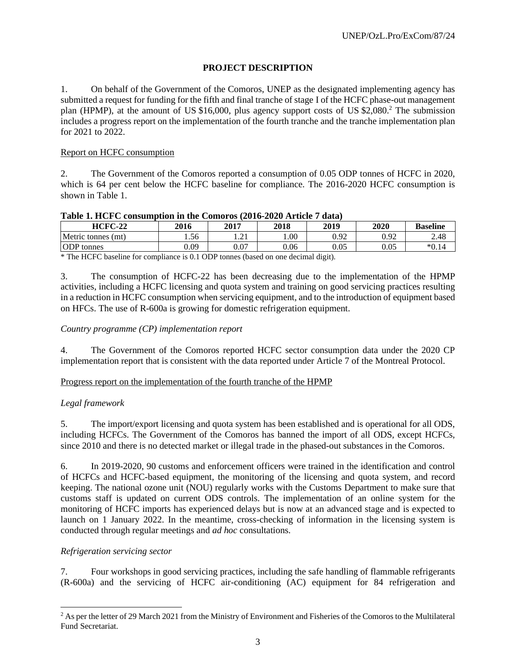# **PROJECT DESCRIPTION**

1. On behalf of the Government of the Comoros, UNEP as the designated implementing agency has submitted a request for funding for the fifth and final tranche of stage I of the HCFC phase-out management plan (HPMP), at the amount of US \$16,000, plus agency support costs of US \$2,080.<sup>2</sup> The submission includes a progress report on the implementation of the fourth tranche and the tranche implementation plan for 2021 to 2022.

## Report on HCFC consumption

2. The Government of the Comoros reported a consumption of 0.05 ODP tonnes of HCFC in 2020, which is 64 per cent below the HCFC baseline for compliance. The 2016-2020 HCFC consumption is shown in Table 1.

| Table 1. Here consumption in the comprostrato-2020 Firucity and t |      |                        |      |          |      |                 |  |  |  |
|-------------------------------------------------------------------|------|------------------------|------|----------|------|-----------------|--|--|--|
| $HCFC-22$                                                         | 2016 | 2017                   | 2018 | 2019     | 2020 | <b>Baseline</b> |  |  |  |
| Metric tonnes (mt)                                                | . 56 | $\bigcap$ 1<br>. . 2 . | .00. | 0.92     | 0.92 | 2.48            |  |  |  |
| <b>ODP</b> tonnes                                                 | 0.09 | 0.07                   | 0.06 | $0.05\,$ | 0.05 | $*0.14$         |  |  |  |

#### **Table 1. HCFC consumption in the Comoros (2016-2020 Article 7 data)**

\* The HCFC baseline for compliance is 0.1 ODP tonnes (based on one decimal digit).

3. The consumption of HCFC-22 has been decreasing due to the implementation of the HPMP activities, including a HCFC licensing and quota system and training on good servicing practices resulting in a reduction in HCFC consumption when servicing equipment, and to the introduction of equipment based on HFCs. The use of R-600a is growing for domestic refrigeration equipment.

## *Country programme (CP) implementation report*

4. The Government of the Comoros reported HCFC sector consumption data under the 2020 CP implementation report that is consistent with the data reported under Article 7 of the Montreal Protocol.

#### Progress report on the implementation of the fourth tranche of the HPMP

#### *Legal framework*

5. The import/export licensing and quota system has been established and is operational for all ODS, including HCFCs. The Government of the Comoros has banned the import of all ODS, except HCFCs, since 2010 and there is no detected market or illegal trade in the phased-out substances in the Comoros.

6. In 2019-2020, 90 customs and enforcement officers were trained in the identification and control of HCFCs and HCFC-based equipment, the monitoring of the licensing and quota system, and record keeping. The national ozone unit (NOU) regularly works with the Customs Department to make sure that customs staff is updated on current ODS controls. The implementation of an online system for the monitoring of HCFC imports has experienced delays but is now at an advanced stage and is expected to launch on 1 January 2022. In the meantime, cross-checking of information in the licensing system is conducted through regular meetings and *ad hoc* consultations.

#### *Refrigeration servicing sector*

7. Four workshops in good servicing practices, including the safe handling of flammable refrigerants (R-600a) and the servicing of HCFC air-conditioning (AC) equipment for 84 refrigeration and

<sup>&</sup>lt;sup>2</sup> As per the letter of 29 March 2021 from the Ministry of Environment and Fisheries of the Comoros to the Multilateral Fund Secretariat.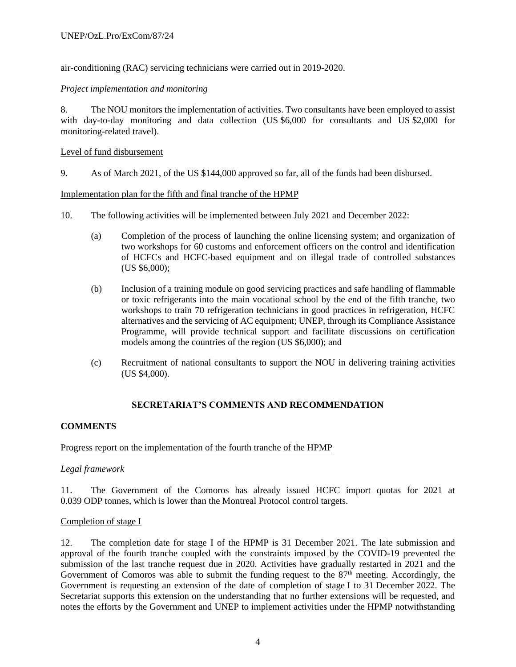air-conditioning (RAC) servicing technicians were carried out in 2019-2020.

## *Project implementation and monitoring*

8. The NOU monitors the implementation of activities. Two consultants have been employed to assist with day**-**to**-**day monitoring and data collection (US \$6,000 for consultants and US \$2,000 for monitoring-related travel).

#### Level of fund disbursement

9. As of March 2021, of the US \$144,000 approved so far, all of the funds had been disbursed.

#### Implementation plan for the fifth and final tranche of the HPMP

- 10. The following activities will be implemented between July 2021 and December 2022:
	- (a) Completion of the process of launching the online licensing system; and organization of two workshops for 60 customs and enforcement officers on the control and identification of HCFCs and HCFC-based equipment and on illegal trade of controlled substances (US \$6,000);
	- (b) Inclusion of a training module on good servicing practices and safe handling of flammable or toxic refrigerants into the main vocational school by the end of the fifth tranche, two workshops to train 70 refrigeration technicians in good practices in refrigeration, HCFC alternatives and the servicing of AC equipment; UNEP, through its Compliance Assistance Programme, will provide technical support and facilitate discussions on certification models among the countries of the region (US \$6,000); and
	- (c) Recruitment of national consultants to support the NOU in delivering training activities (US \$4,000).

# **SECRETARIAT'S COMMENTS AND RECOMMENDATION**

# **COMMENTS**

# Progress report on the implementation of the fourth tranche of the HPMP

#### *Legal framework*

11. The Government of the Comoros has already issued HCFC import quotas for 2021 at 0.039 ODP tonnes, which is lower than the Montreal Protocol control targets.

#### Completion of stage I

12. The completion date for stage I of the HPMP is 31 December 2021. The late submission and approval of the fourth tranche coupled with the constraints imposed by the COVID-19 prevented the submission of the last tranche request due in 2020. Activities have gradually restarted in 2021 and the Government of Comoros was able to submit the funding request to the  $87<sup>th</sup>$  meeting. Accordingly, the Government is requesting an extension of the date of completion of stage I to 31 December 2022. The Secretariat supports this extension on the understanding that no further extensions will be requested, and notes the efforts by the Government and UNEP to implement activities under the HPMP notwithstanding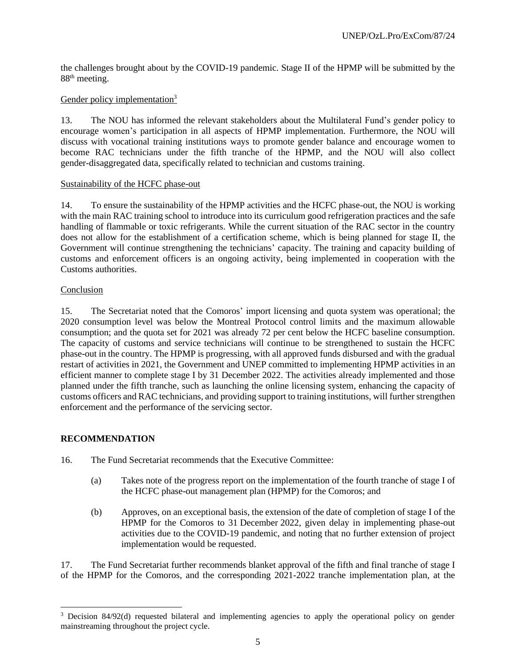the challenges brought about by the COVID-19 pandemic. Stage II of the HPMP will be submitted by the 88<sup>th</sup> meeting.

## Gender policy implementation<sup>3</sup>

13. The NOU has informed the relevant stakeholders about the Multilateral Fund's gender policy to encourage women's participation in all aspects of HPMP implementation. Furthermore, the NOU will discuss with vocational training institutions ways to promote gender balance and encourage women to become RAC technicians under the fifth tranche of the HPMP, and the NOU will also collect gender-disaggregated data, specifically related to technician and customs training.

#### Sustainability of the HCFC phase-out

14. To ensure the sustainability of the HPMP activities and the HCFC phase-out, the NOU is working with the main RAC training school to introduce into its curriculum good refrigeration practices and the safe handling of flammable or toxic refrigerants. While the current situation of the RAC sector in the country does not allow for the establishment of a certification scheme, which is being planned for stage II, the Government will continue strengthening the technicians' capacity. The training and capacity building of customs and enforcement officers is an ongoing activity, being implemented in cooperation with the Customs authorities.

#### Conclusion

15. The Secretariat noted that the Comoros' import licensing and quota system was operational; the 2020 consumption level was below the Montreal Protocol control limits and the maximum allowable consumption; and the quota set for 2021 was already 72 per cent below the HCFC baseline consumption. The capacity of customs and service technicians will continue to be strengthened to sustain the HCFC phase-out in the country. The HPMP is progressing, with all approved funds disbursed and with the gradual restart of activities in 2021, the Government and UNEP committed to implementing HPMP activities in an efficient manner to complete stage I by 31 December 2022. The activities already implemented and those planned under the fifth tranche, such as launching the online licensing system, enhancing the capacity of customs officers and RAC technicians, and providing support to training institutions, will further strengthen enforcement and the performance of the servicing sector.

#### **RECOMMENDATION**

- 16. The Fund Secretariat recommends that the Executive Committee:
	- (a) Takes note of the progress report on the implementation of the fourth tranche of stage I of the HCFC phase-out management plan (HPMP) for the Comoros; and
	- (b) Approves, on an exceptional basis, the extension of the date of completion of stage I of the HPMP for the Comoros to 31 December 2022, given delay in implementing phase-out activities due to the COVID-19 pandemic, and noting that no further extension of project implementation would be requested.

17. The Fund Secretariat further recommends blanket approval of the fifth and final tranche of stage I of the HPMP for the Comoros, and the corresponding 2021-2022 tranche implementation plan, at the

<sup>&</sup>lt;sup>3</sup> Decision 84/92(d) requested bilateral and implementing agencies to apply the operational policy on gender mainstreaming throughout the project cycle.